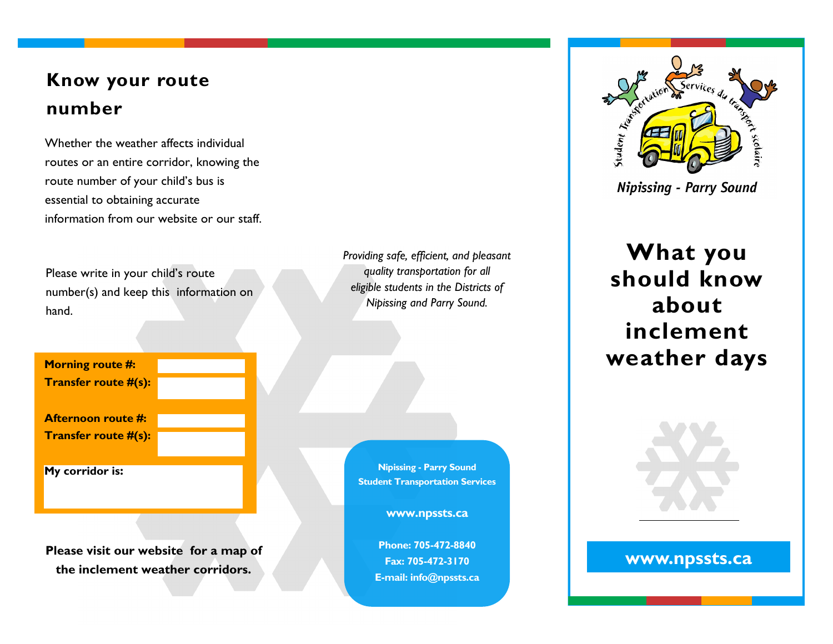## **Know your route number**

Whether the weather affects individual routes or an entire corridor, knowing the route number of your child's bus is essential to obtaining accurate information from our website or our staff.

Please write in your child's route number(s) and keep this information on hand.

**Morning route #: Transfer route #(s): Afternoon route #: Transfer route #(s):** 

**My corridor is:** 

**Please visit our website for a map of the inclement weather corridors.**

*Providing safe, efficient, and pleasant quality transportation for all eligible students in the Districts of Nipissing and Parry Sound.*

**Nipissing - Parry Sound Student Transportation Services** 

**www.npssts.ca**

**Phone: 705-472-8840 Fax: 705-472-3170 E-mail: info@npssts.ca** 



**Nipissing - Parry Sound** 

**What you should know about inclement weather days** 



#### **www.npssts.ca**